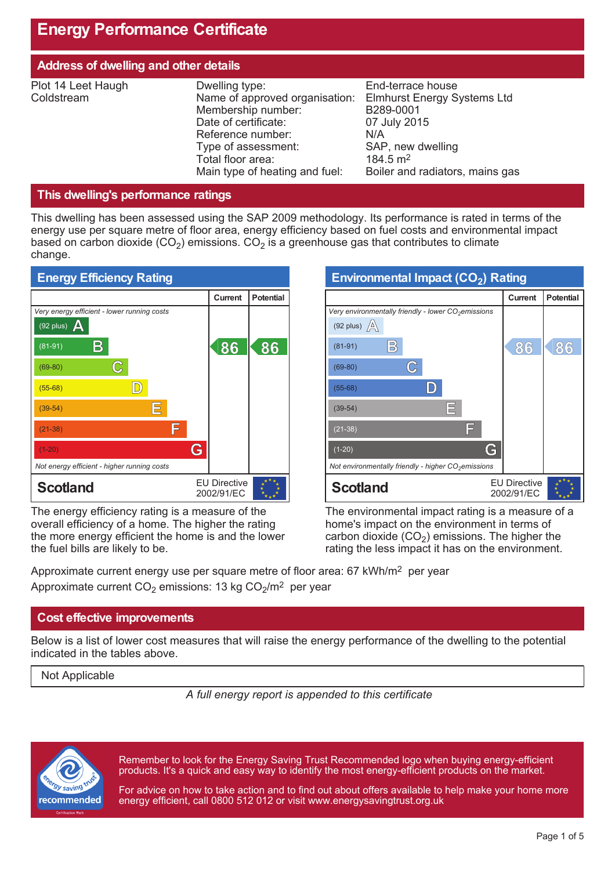# **Energy Performance Certificate**

| Address of dwelling and other details |                                                                                                                                                                                                   |                                                                                                                                                                            |  |  |
|---------------------------------------|---------------------------------------------------------------------------------------------------------------------------------------------------------------------------------------------------|----------------------------------------------------------------------------------------------------------------------------------------------------------------------------|--|--|
| Plot 14 Leet Haugh<br>Coldstream      | Dwelling type:<br>Name of approved organisation:<br>Membership number:<br>Date of certificate:<br>Reference number:<br>Type of assessment:<br>Total floor area:<br>Main type of heating and fuel: | End-terrace house<br><b>Elmhurst Energy Systems Ltd</b><br>B289-0001<br>07 July 2015<br>N/A<br>SAP, new dwelling<br>$184.5 \text{ m}^2$<br>Boiler and radiators, mains gas |  |  |

### **This dwelling's performance ratings**

This dwelling has been assessed using the SAP 2009 methodology. Its performance is rated in terms of the energy use per square metre of floor area, energy efficiency based on fuel costs and environmental impact based on carbon dioxide (CO<sub>2</sub>) emissions. CO<sub>2</sub> is a greenhouse gas that contributes to climate change.



The energy efficiency rating is a measure of the overall efficiency of a home. The higher the rating the more energy efficient the home is and the lower the fuel bills are likely to be.

| Environmental Impact (CO <sub>2</sub> ) Rating                                  |                                   |                  |  |
|---------------------------------------------------------------------------------|-----------------------------------|------------------|--|
|                                                                                 | <b>Current</b>                    | <b>Potential</b> |  |
| Very environmentally friendly - lower $CO2$ emissions<br>(92 plus) $\mathbb{A}$ |                                   |                  |  |
| $\mathbb{B}$<br>$(81-91)$                                                       | 86                                | 86               |  |
| $(69-80)$                                                                       |                                   |                  |  |
| $(55-68)$                                                                       |                                   |                  |  |
| E<br>$(39-54)$                                                                  |                                   |                  |  |
| ادا<br>$(21-38)$                                                                |                                   |                  |  |
| G<br>$(1-20)$                                                                   |                                   |                  |  |
| Not environmentally friendly - higher $CO2$ emissions                           |                                   |                  |  |
| <b>Scotland</b>                                                                 | <b>EU Directive</b><br>2002/91/EC |                  |  |

The environmental impact rating is a measure of a home's impact on the environment in terms of carbon dioxide  $(CO_2)$  emissions. The higher the rating the less impact it has on the environment.

Approximate current energy use per square metre of floor area: 67 kWh/m<sup>2</sup> per year Approximate current CO<sub>2</sub> emissions: 13 kg CO<sub>2</sub>/m<sup>2</sup> per year

### **Cost effective improvements**

Below is a list of lower cost measures that will raise the energy performance of the dwelling to the potential indicated in the tables above.

Not Applicable

*A full energy report is appended to this certificate*



Remember to look for the Energy Saving Trust Recommended logo when buying energy-efficient products. It's a quick and easy way to identify the most energy-efficient products on the market.

For advice on how to take action and to find out about offers available to help make your home more energy efficient, call 0800 512 012 or visit www.energysavingtrust.org.uk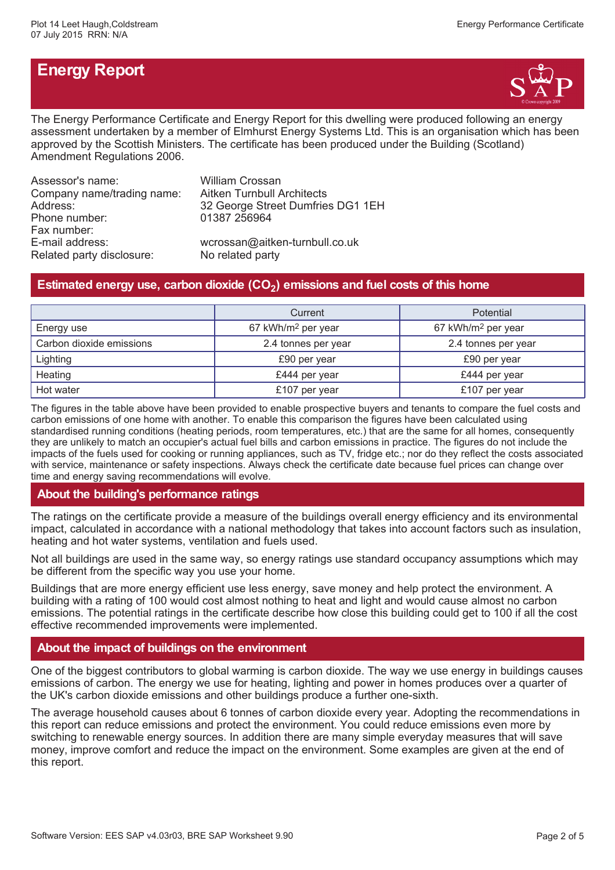# **Energy Report**



The Energy Performance Certificate and Energy Report for this dwelling were produced following an energy assessment undertaken by a member of Elmhurst Energy Systems Ltd. This is an organisation which has been approved by the Scottish Ministers. The certificate has been produced under the Building (Scotland) Amendment Regulations 2006.

| Assessor's name:           | William Crossan                   |
|----------------------------|-----------------------------------|
| Company name/trading name: | <b>Aitken Turnbull Architects</b> |
| Address:                   | 32 George Street Dumfries DG1 1EH |
| Phone number:              | 01387 256964                      |
| Fax number:                |                                   |
| E-mail address:            | wcrossan@aitken-turnbull.co.uk    |
| Related party disclosure:  | No related party                  |

# **Estimated energy use, carbon dioxide (CO<sup>2</sup> ) emissions and fuel costs of this home**

|                          | Current                        | <b>Potential</b>               |  |
|--------------------------|--------------------------------|--------------------------------|--|
| Energy use               | 67 kWh/m <sup>2</sup> per year | 67 kWh/m <sup>2</sup> per year |  |
| Carbon dioxide emissions | 2.4 tonnes per year            | 2.4 tonnes per year            |  |
| Lighting                 | £90 per year                   | £90 per year                   |  |
| Heating                  | £444 per year                  | £444 per year                  |  |
| Hot water                | £107 per year                  | £107 per year                  |  |

The figures in the table above have been provided to enable prospective buyers and tenants to compare the fuel costs and carbon emissions of one home with another. To enable this comparison the figures have been calculated using standardised running conditions (heating periods, room temperatures, etc.) that are the same for all homes, consequently they are unlikely to match an occupier's actual fuel bills and carbon emissions in practice. The figures do not include the impacts of the fuels used for cooking or running appliances, such as TV, fridge etc.; nor do they reflect the costs associated with service, maintenance or safety inspections. Always check the certificate date because fuel prices can change over time and energy saving recommendations will evolve.

### **About the building's performance ratings**

The ratings on the certificate provide a measure of the buildings overall energy efficiency and its environmental impact, calculated in accordance with a national methodology that takes into account factors such as insulation, heating and hot water systems, ventilation and fuels used.

Not all buildings are used in the same way, so energy ratings use standard occupancy assumptions which may be different from the specific way you use your home.

Buildings that are more energy efficient use less energy, save money and help protect the environment. A building with a rating of 100 would cost almost nothing to heat and light and would cause almost no carbon emissions. The potential ratings in the certificate describe how close this building could get to 100 if all the cost effective recommended improvements were implemented.

## **About the impact of buildings on the environment**

One of the biggest contributors to global warming is carbon dioxide. The way we use energy in buildings causes emissions of carbon. The energy we use for heating, lighting and power in homes produces over a quarter of the UK's carbon dioxide emissions and other buildings produce a further one-sixth.

The average household causes about 6 tonnes of carbon dioxide every year. Adopting the recommendations in this report can reduce emissions and protect the environment. You could reduce emissions even more by switching to renewable energy sources. In addition there are many simple everyday measures that will save money, improve comfort and reduce the impact on the environment. Some examples are given at the end of this report.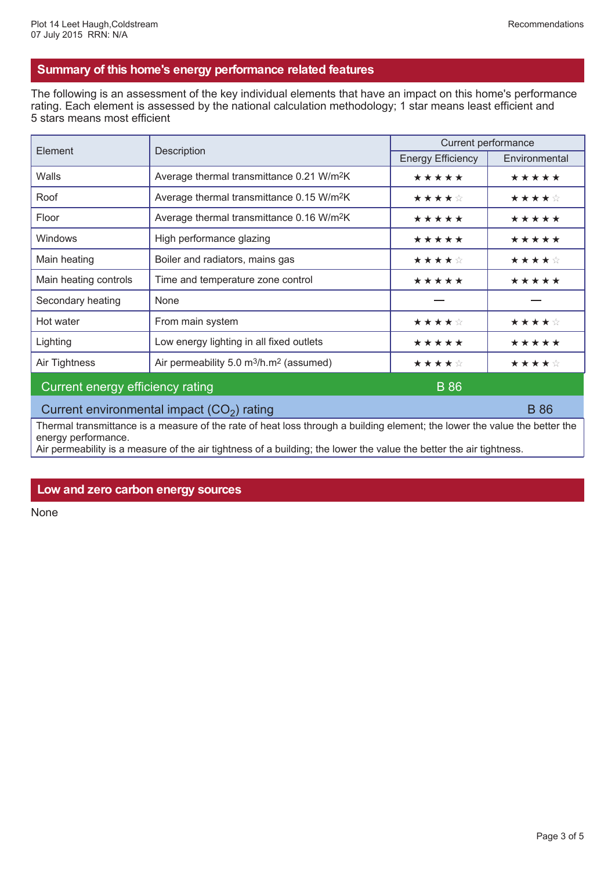### **Summary of this home's energy performance related features**

The following is an assessment of the key individual elements that have an impact on this home's performance rating. Each element is assessed by the national calculation methodology; 1 star means least efficient and 5 stars means most efficient

| Element                                     | Description                                                     | Current performance      |               |  |
|---------------------------------------------|-----------------------------------------------------------------|--------------------------|---------------|--|
|                                             |                                                                 | <b>Energy Efficiency</b> | Environmental |  |
| Walls                                       | Average thermal transmittance 0.21 W/m <sup>2</sup> K           | *****                    | *****         |  |
| Roof                                        | Average thermal transmittance 0.15 W/m <sup>2</sup> K           | ★★★★☆                    | ★★★★☆         |  |
| Floor                                       | Average thermal transmittance 0.16 W/m <sup>2</sup> K           | *****                    | *****         |  |
| Windows                                     | High performance glazing                                        | *****                    | *****         |  |
| Main heating                                | Boiler and radiators, mains gas                                 | ★★★★☆                    | ★★★★☆         |  |
| Main heating controls                       | Time and temperature zone control                               | *****                    | *****         |  |
| Secondary heating                           | None                                                            |                          |               |  |
| Hot water                                   | From main system                                                | ★★★★☆                    | ★★★★☆         |  |
| Lighting                                    | Low energy lighting in all fixed outlets                        | *****                    | *****         |  |
| Air Tightness                               | Air permeability 5.0 m <sup>3</sup> /h.m <sup>2</sup> (assumed) | ★★★★☆                    | ★★★★☆         |  |
| Current energy efficiency rating            |                                                                 | <b>B</b> 86              |               |  |
| Current environmental impact $(CO2)$ rating |                                                                 |                          | <b>B</b> 86   |  |

Thermal transmittance is a measure of the rate of heat loss through a building element; the lower the value the better the energy performance.

Air permeability is a measure of the air tightness of a building; the lower the value the better the air tightness.

### **Low and zero carbon energy sources**

None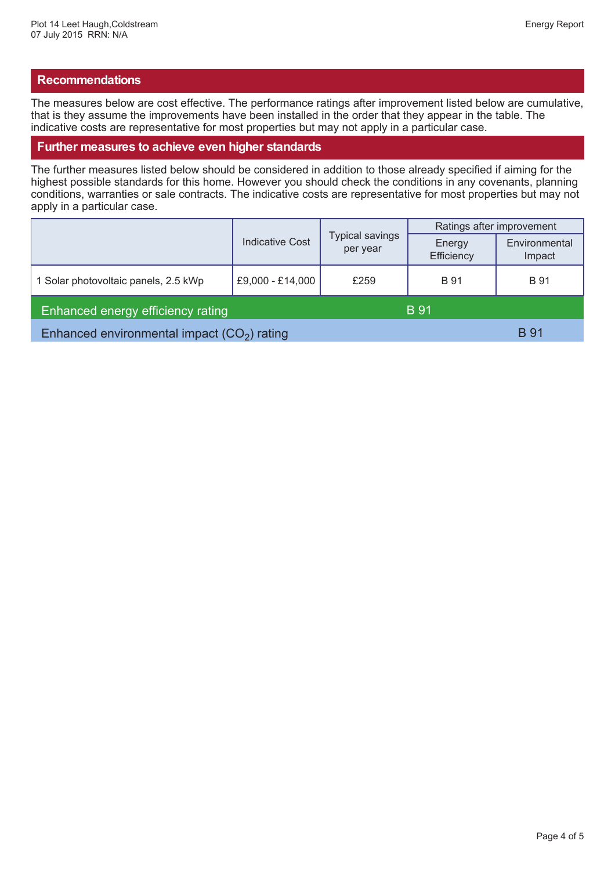### **Recommendations**

The measures below are cost effective. The performance ratings after improvement listed below are cumulative, that is they assume the improvements have been installed in the order that they appear in the table. The indicative costs are representative for most properties but may not apply in a particular case.

#### **Further measures to achieve even higher standards**

The further measures listed below should be considered in addition to those already specified if aiming for the highest possible standards for this home. However you should check the conditions in any covenants, planning conditions, warranties or sale contracts. The indicative costs are representative for most properties but may not apply in a particular case.

|                                              | Indicative Cost  | <b>Typical savings</b><br>per year | Ratings after improvement |                         |
|----------------------------------------------|------------------|------------------------------------|---------------------------|-------------------------|
|                                              |                  |                                    | Energy<br>Efficiency      | Environmental<br>Impact |
| 1 Solar photovoltaic panels, 2.5 kWp         | £9,000 - £14,000 | £259                               | <b>B</b> 91               | <b>B</b> 91             |
| Enhanced energy efficiency rating            |                  |                                    | <b>B</b> 91               |                         |
| Enhanced environmental impact $(CO2)$ rating |                  |                                    |                           | <b>B</b> 91             |